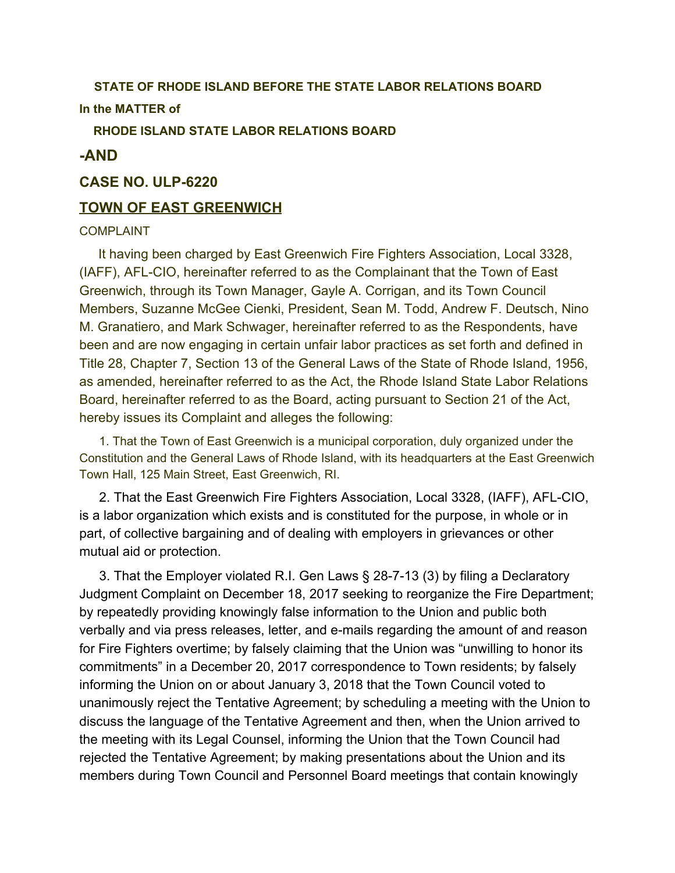# **STATE OF RHODE ISLAND BEFORE THE STATE LABOR RELATIONS BOARD**

# **In the MATTER of**

**RHODE ISLAND STATE LABOR RELATIONS BOARD**

# **-AND**

### **CASE NO. ULP-6220**

#### **TOWN OF EAST GREENWICH**

#### COMPLAINT

It having been charged by East Greenwich Fire Fighters Association, Local 3328, (IAFF), AFL-CIO, hereinafter referred to as the Complainant that the Town of East Greenwich, through its Town Manager, Gayle A. Corrigan, and its Town Council Members, Suzanne McGee Cienki, President, Sean M. Todd, Andrew F. Deutsch, Nino M. Granatiero, and Mark Schwager, hereinafter referred to as the Respondents, have been and are now engaging in certain unfair labor practices as set forth and defined in Title 28, Chapter 7, Section 13 of the General Laws of the State of Rhode Island, 1956, as amended, hereinafter referred to as the Act, the Rhode Island State Labor Relations Board, hereinafter referred to as the Board, acting pursuant to Section 21 of the Act, hereby issues its Complaint and alleges the following:

1. That the Town of East Greenwich is a municipal corporation, duly organized under the Constitution and the General Laws of Rhode Island, with its headquarters at the East Greenwich Town Hall, 125 Main Street, East Greenwich, RI.

2. That the East Greenwich Fire Fighters Association, Local 3328, (IAFF), AFL-CIO, is a labor organization which exists and is constituted for the purpose, in whole or in part, of collective bargaining and of dealing with employers in grievances or other mutual aid or protection.

3. That the Employer violated R.I. Gen Laws § 28-7-13 (3) by filing a Declaratory Judgment Complaint on December 18, 2017 seeking to reorganize the Fire Department; by repeatedly providing knowingly false information to the Union and public both verbally and via press releases, letter, and e-mails regarding the amount of and reason for Fire Fighters overtime; by falsely claiming that the Union was "unwilling to honor its commitments" in a December 20, 2017 correspondence to Town residents; by falsely informing the Union on or about January 3, 2018 that the Town Council voted to unanimously reject the Tentative Agreement; by scheduling a meeting with the Union to discuss the language of the Tentative Agreement and then, when the Union arrived to the meeting with its Legal Counsel, informing the Union that the Town Council had rejected the Tentative Agreement; by making presentations about the Union and its members during Town Council and Personnel Board meetings that contain knowingly